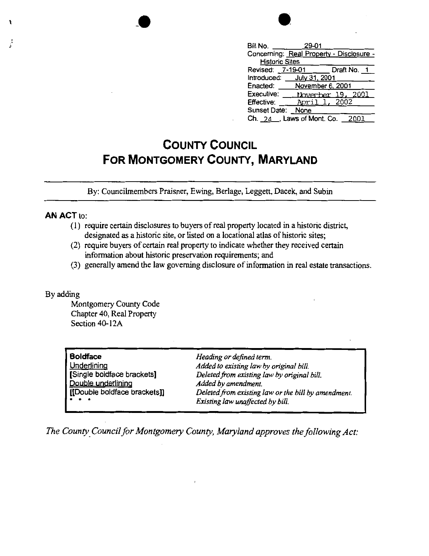| 29-01<br>Bill No.<br>Concerning: Real Property - Disclosure - |
|---------------------------------------------------------------|
| <b>Historic Sites</b><br>Draft No. 1<br>7-19-01<br>Revised:   |
| Introduced:<br>July 31, 2001                                  |
| Enacted:<br>November 6, 2001                                  |
| Executive:<br>2001<br>November 19.                            |
| 2002<br>April<br><b>Effective:</b>                            |
| Sunset Date: None                                             |
| Ch. 24 , Laws of Mont. Co.<br>2001                            |

## **COUNTY COUNCIL FOR MONTGOMERY COUNTY, MARYLAND**

By: Councilrnembers Praisner, Ewing, Berlage, Leggett, Dacek, and Subin

## **AN ACT** to:

1.

ł,

- (I) require certain disclosures to buyers of real property located in a historic district, designated as a historic site, or listed on a locational atlas of historic sites;
- (2) require buyers of certain real property to indicate whether they received certain information about historic preservation requirements; and
- (3) generally amend the law governing disclosure of information in real estate transactions.

## By adding

Montgomery County Code Chapter 40, Real Property Section 40-l 2A

| <b>Boldface</b>              | Heading or defined term.                            |  |
|------------------------------|-----------------------------------------------------|--|
| Underlining                  | Added to existing law by original bill.             |  |
| [Single boldface brackets]   | Deleted from existing law by original bill.         |  |
| Double underlining           | Added by amendment.                                 |  |
| [[Double boldface brackets]] | Deleted from existing law or the bill by amendment. |  |
| $\cdots$                     | Existing law unaffected by bill.                    |  |

*The County\_ Council for Montgomery County, Maryland approves the following Act:*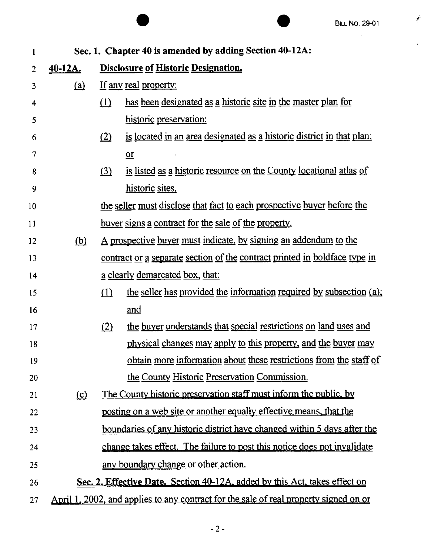*i* 

 $t_{\rm c}$ 

|                                                                                  |                                                                                              |                                                                            | <b>BILL NO. 29-01</b>                                                           |  |
|----------------------------------------------------------------------------------|----------------------------------------------------------------------------------------------|----------------------------------------------------------------------------|---------------------------------------------------------------------------------|--|
| Sec. 1. Chapter 40 is amended by adding Section 40-12A:<br>1                     |                                                                                              |                                                                            |                                                                                 |  |
| 2                                                                                | $40-12A.$                                                                                    |                                                                            | <b>Disclosure of Historic Designation.</b>                                      |  |
| 3                                                                                | (a)                                                                                          | If any real property:                                                      |                                                                                 |  |
| 4                                                                                |                                                                                              | (1)                                                                        | has been designated as a historic site in the master plan for                   |  |
| 5                                                                                |                                                                                              |                                                                            | historic preservation;                                                          |  |
| 6                                                                                |                                                                                              | (2)                                                                        | is located in an area designated as a historic district in that plan;           |  |
| 7                                                                                |                                                                                              |                                                                            | $or$<br>$\blacksquare$                                                          |  |
| 8                                                                                |                                                                                              | (3)                                                                        | is listed as a historic resource on the County locational atlas of              |  |
| 9                                                                                |                                                                                              |                                                                            | historic sites,                                                                 |  |
| 10                                                                               |                                                                                              |                                                                            | the seller must disclose that fact to each prospective buyer before the         |  |
| 11                                                                               |                                                                                              |                                                                            | <u>buyer signs a contract for the sale of the property.</u>                     |  |
| 12                                                                               | (b)                                                                                          | <u>A prospective buyer must indicate, by signing an addendum to the</u>    |                                                                                 |  |
| 13                                                                               |                                                                                              | contract or a separate section of the contract printed in boldface type in |                                                                                 |  |
| 14                                                                               |                                                                                              | <u>a clearly demarcated box, that:</u>                                     |                                                                                 |  |
| 15                                                                               |                                                                                              | (1)                                                                        | the seller has provided the information required by subsection (a);             |  |
| 16                                                                               |                                                                                              |                                                                            | and                                                                             |  |
| 17                                                                               |                                                                                              | (2)                                                                        | the buyer understands that special restrictions on land uses and                |  |
| 18                                                                               |                                                                                              |                                                                            | physical changes may apply to this property, and the buyer may                  |  |
| 19                                                                               |                                                                                              |                                                                            | obtain more information about these restrictions from the staff of              |  |
| 20                                                                               |                                                                                              |                                                                            | the County Historic Preservation Commission.                                    |  |
| 21                                                                               | <u>(ാ</u>                                                                                    |                                                                            | <u>The County historic preservation staff must inform the public, by</u>        |  |
| 22                                                                               |                                                                                              | posting on a web site or another equally effective means, that the         |                                                                                 |  |
| 23                                                                               |                                                                                              |                                                                            | <u>boundaries of any historic district have changed within 5 days after the</u> |  |
| 24                                                                               |                                                                                              |                                                                            | change takes effect. The failure to post this notice does not invalidate        |  |
| 25                                                                               |                                                                                              |                                                                            | any boundary change or other action.                                            |  |
| Sec. 2. Effective Date. Section 40-12A, added by this Act, takes effect on<br>26 |                                                                                              |                                                                            |                                                                                 |  |
| 27                                                                               | <u>April 1, 2002, and applies to any contract for the sale of real property signed on or</u> |                                                                            |                                                                                 |  |